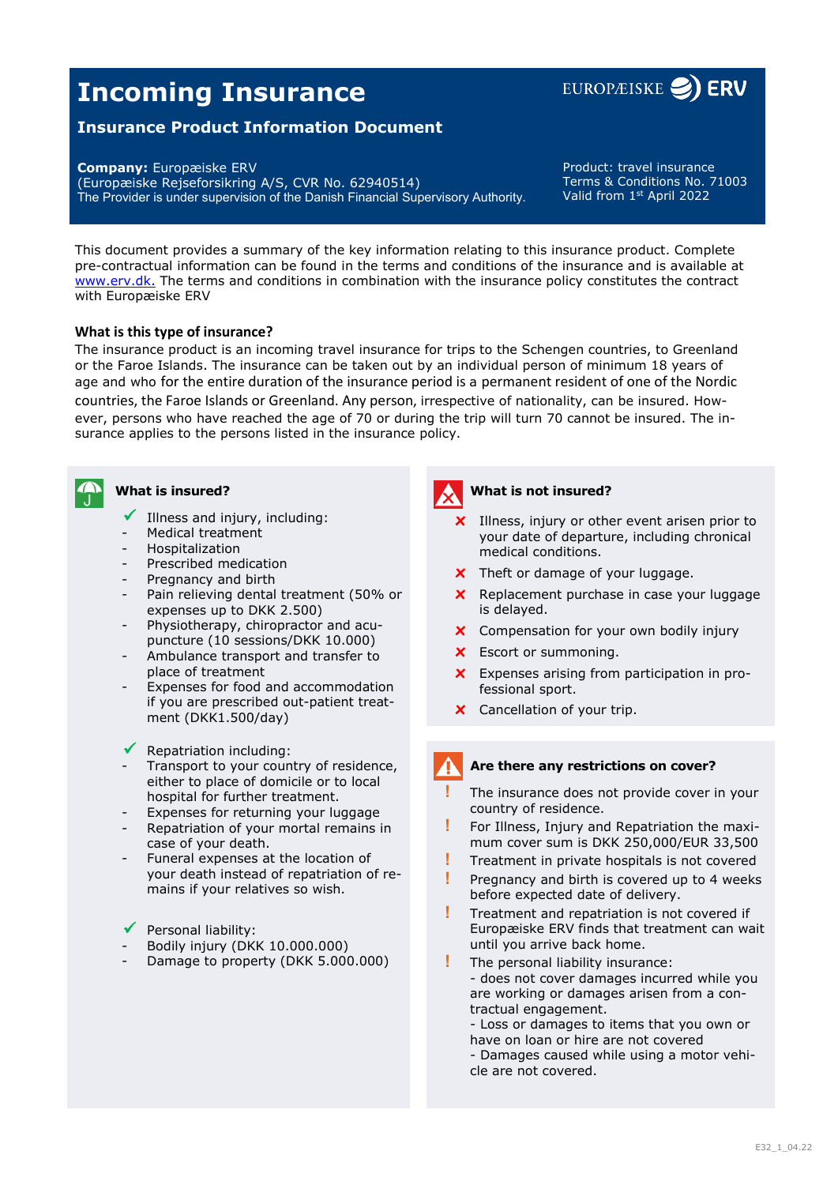# **Incoming Insurance**



# **Insurance Product Information Document**

**Company:** Europæiske ERV

(Europæiske Rejseforsikring A/S, CVR No. 62940514) The Provider is under supervision of the Danish Financial Supervisory Authority.

Product: travel insurance Terms & Conditions No. 71003 Valid from 1st April 2022

This document provides a summary of the key information relating to this insurance product. Complete pre-contractual information can be found in the terms and conditions of the insurance and is available at www.erv.dk. The terms and conditions in combination with the insurance policy constitutes the contract with Europæiske ERV

## **What is this type of insurance?**

The insurance product is an incoming travel insurance for trips to the Schengen countries, to Greenland or the Faroe Islands. The insurance can be taken out by an individual person of minimum 18 years of age and who for the entire duration of the insurance period is a permanent resident of one of the Nordic countries, the Faroe Islands or Greenland. Any person, irrespective of nationality, can be insured. However, persons who have reached the age of 70 or during the trip will turn 70 cannot be insured. The insurance applies to the persons listed in the insurance policy.



# **What is insured?**

- $\checkmark$  Illness and injury, including:
- Medical treatment
- **Hospitalization**
- Prescribed medication
- Pregnancy and birth
- Pain relieving dental treatment (50% or expenses up to DKK 2.500)
- Physiotherapy, chiropractor and acupuncture (10 sessions/DKK 10.000)
- Ambulance transport and transfer to place of treatment
- Expenses for food and accommodation if you are prescribed out-patient treatment (DKK1.500/day)
- Repatriation including:
- Transport to your country of residence, either to place of domicile or to local hospital for further treatment.
- Expenses for returning your luggage
- Repatriation of your mortal remains in case of your death.
- Funeral expenses at the location of your death instead of repatriation of remains if your relatives so wish.
- $\checkmark$  Personal liability:
- Bodily injury (DKK 10.000.000)
- Damage to property (DKK 5.000.000)



## **What is not insured?**

- **x** Illness, injury or other event arisen prior to your date of departure, including chronical medical conditions.
- **x** Theft or damage of your luggage.
- **x** Replacement purchase in case your luggage is delayed.
- **x** Compensation for your own bodily injury
- **x** Escort or summoning.
- **x** Expenses arising from participation in professional sport.
- **x** Cancellation of your trip.

#### **Are there any restrictions on cover?**

- **!** The insurance does not provide cover in your country of residence.
- **!** For Illness, Injury and Repatriation the maximum cover sum is DKK 250,000/EUR 33,500
- **!** Treatment in private hospitals is not covered
- **!** Pregnancy and birth is covered up to 4 weeks before expected date of delivery.
- **!** Treatment and repatriation is not covered if Europæiske ERV finds that treatment can wait until you arrive back home.
- **!** The personal liability insurance: - does not cover damages incurred while you are working or damages arisen from a contractual engagement.

- Loss or damages to items that you own or have on loan or hire are not covered - Damages caused while using a motor vehi-

cle are not covered.